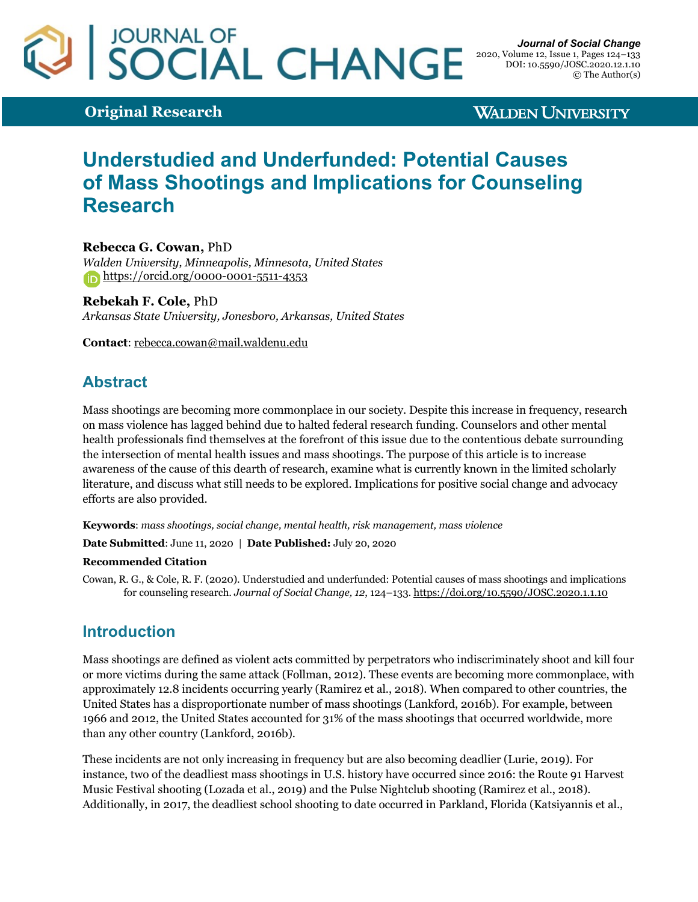# JOURNAL OF<br>SOCIAL CHANGE

**Original Research**

**WALDEN UNIVERSITY** 

## **Understudied and Underfunded: Potential Causes of Mass Shootings and Implications for Counseling Research**

**Rebecca G. Cowan,** PhD *Walden University, Minneapolis, Minnesota, United States* https://orcid.org/0000-0001-5511-4353

**Rebekah F. Cole,** PhD *Arkansas State University, Jonesboro, Arkansas, United States*

**Contact**: rebecca.cowan@mail.waldenu.edu

## **Abstract**

Mass shootings are becoming more commonplace in our society. Despite this increase in frequency, research on mass violence has lagged behind due to halted federal research funding. Counselors and other mental health professionals find themselves at the forefront of this issue due to the contentious debate surrounding the intersection of mental health issues and mass shootings. The purpose of this article is to increase awareness of the cause of this dearth of research, examine what is currently known in the limited scholarly literature, and discuss what still needs to be explored. Implications for positive social change and advocacy efforts are also provided.

**Keywords**: *mass shootings, social change, mental health, risk management, mass violence*

**Date Submitted**: June 11, 2020 | **Date Published:** July 20, 2020

#### **Recommended Citation**

Cowan, R. G., & Cole, R. F. (2020). Understudied and underfunded: Potential causes of mass shootings and implications for counseling research. *Journal of Social Change, 12*, 124–133. https://doi.org/10.5590/JOSC.2020.1.1.10

## **Introduction**

Mass shootings are defined as violent acts committed by perpetrators who indiscriminately shoot and kill four or more victims during the same attack (Follman, 2012). These events are becoming more commonplace, with approximately 12.8 incidents occurring yearly (Ramirez et al., 2018). When compared to other countries, the United States has a disproportionate number of mass shootings (Lankford, 2016b). For example, between 1966 and 2012, the United States accounted for 31% of the mass shootings that occurred worldwide, more than any other country (Lankford, 2016b).

These incidents are not only increasing in frequency but are also becoming deadlier (Lurie, 2019). For instance, two of the deadliest mass shootings in U.S. history have occurred since 2016: the Route 91 Harvest Music Festival shooting (Lozada et al., 2019) and the Pulse Nightclub shooting (Ramirez et al., 2018). Additionally, in 2017, the deadliest school shooting to date occurred in Parkland, Florida (Katsiyannis et al.,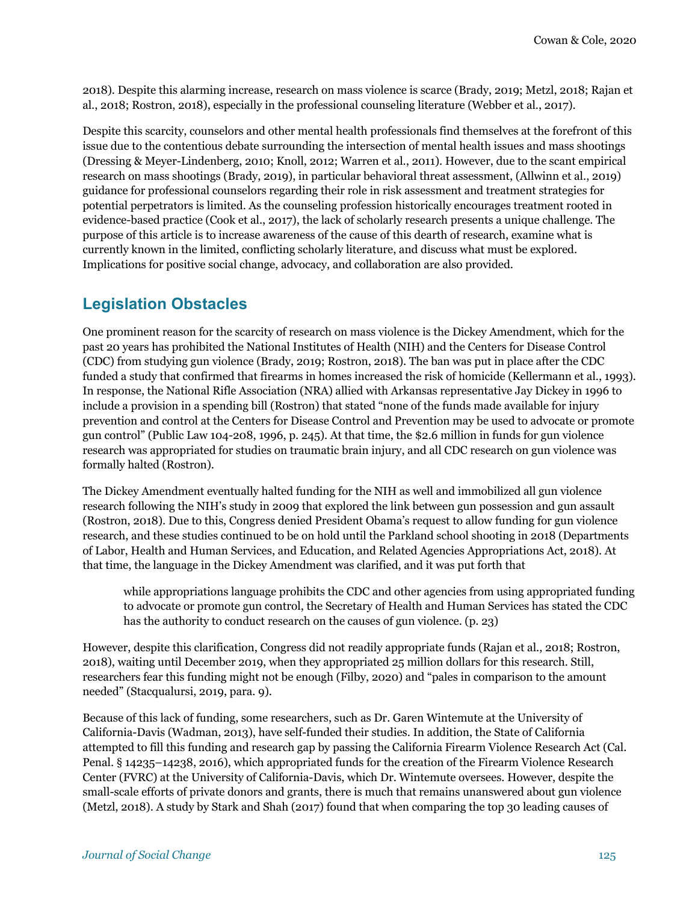2018). Despite this alarming increase, research on mass violence is scarce (Brady, 2019; Metzl, 2018; Rajan et al., 2018; Rostron, 2018), especially in the professional counseling literature (Webber et al., 2017).

Despite this scarcity, counselors and other mental health professionals find themselves at the forefront of this issue due to the contentious debate surrounding the intersection of mental health issues and mass shootings (Dressing & Meyer-Lindenberg, 2010; Knoll, 2012; Warren et al., 2011). However, due to the scant empirical research on mass shootings (Brady, 2019), in particular behavioral threat assessment, (Allwinn et al., 2019) guidance for professional counselors regarding their role in risk assessment and treatment strategies for potential perpetrators is limited. As the counseling profession historically encourages treatment rooted in evidence-based practice (Cook et al., 2017), the lack of scholarly research presents a unique challenge. The purpose of this article is to increase awareness of the cause of this dearth of research, examine what is currently known in the limited, conflicting scholarly literature, and discuss what must be explored. Implications for positive social change, advocacy, and collaboration are also provided.

## **Legislation Obstacles**

One prominent reason for the scarcity of research on mass violence is the Dickey Amendment, which for the past 20 years has prohibited the National Institutes of Health (NIH) and the Centers for Disease Control (CDC) from studying gun violence (Brady, 2019; Rostron, 2018). The ban was put in place after the CDC funded a study that confirmed that firearms in homes increased the risk of homicide (Kellermann et al., 1993). In response, the National Rifle Association (NRA) allied with Arkansas representative Jay Dickey in 1996 to include a provision in a spending bill (Rostron) that stated "none of the funds made available for injury prevention and control at the Centers for Disease Control and Prevention may be used to advocate or promote gun control" (Public Law 104-208, 1996, p. 245). At that time, the \$2.6 million in funds for gun violence research was appropriated for studies on traumatic brain injury, and all CDC research on gun violence was formally halted (Rostron).

The Dickey Amendment eventually halted funding for the NIH as well and immobilized all gun violence research following the NIH's study in 2009 that explored the link between gun possession and gun assault (Rostron, 2018). Due to this, Congress denied President Obama's request to allow funding for gun violence research, and these studies continued to be on hold until the Parkland school shooting in 2018 (Departments of Labor, Health and Human Services, and Education, and Related Agencies Appropriations Act, 2018). At that time, the language in the Dickey Amendment was clarified, and it was put forth that

while appropriations language prohibits the CDC and other agencies from using appropriated funding to advocate or promote gun control, the Secretary of Health and Human Services has stated the CDC has the authority to conduct research on the causes of gun violence. (p. 23)

However, despite this clarification, Congress did not readily appropriate funds (Rajan et al., 2018; Rostron, 2018), waiting until December 2019, when they appropriated 25 million dollars for this research. Still, researchers fear this funding might not be enough (Filby, 2020) and "pales in comparison to the amount needed" (Stacqualursi, 2019, para. 9).

Because of this lack of funding, some researchers, such as Dr. Garen Wintemute at the University of California-Davis (Wadman, 2013), have self-funded their studies. In addition, the State of California attempted to fill this funding and research gap by passing the California Firearm Violence Research Act (Cal. Penal. § 14235–14238, 2016), which appropriated funds for the creation of the Firearm Violence Research Center (FVRC) at the University of California-Davis, which Dr. Wintemute oversees. However, despite the small-scale efforts of private donors and grants, there is much that remains unanswered about gun violence (Metzl, 2018). A study by Stark and Shah (2017) found that when comparing the top 30 leading causes of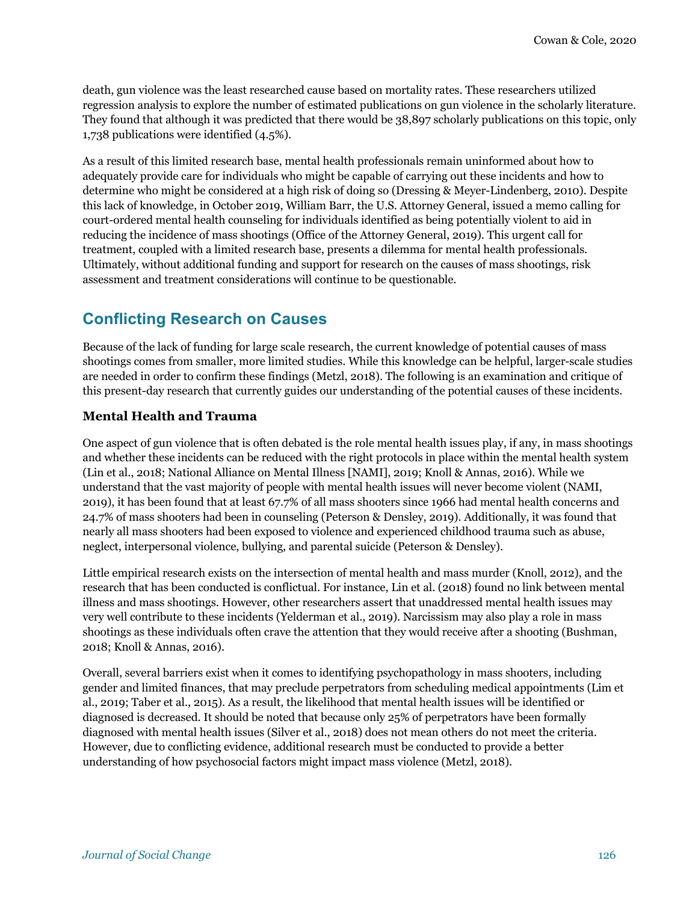death, gun violence was the least researched cause based on mortality rates. These researchers utilized regression analysis to explore the number of estimated publications on gun violence in the scholarly literature. They found that although it was predicted that there would be 38,897 scholarly publications on this topic, only 1,738 publications were identified (4.5%).

As a result of this limited research base, mental health professionals remain uninformed about how to adequately provide care for individuals who might be capable of carrying out these incidents and how to determine who might be considered at a high risk of doing so (Dressing & Meyer-Lindenberg, 2010). Despite this lack of knowledge, in October 2019, William Barr, the U.S. Attorney General, issued a memo calling for court-ordered mental health counseling for individuals identified as being potentially violent to aid in reducing the incidence of mass shootings (Office of the Attorney General, 2019). This urgent call for treatment, coupled with a limited research base, presents a dilemma for mental health professionals. Ultimately, without additional funding and support for research on the causes of mass shootings, risk assessment and treatment considerations will continue to be questionable.

## **Conflicting Research on Causes**

Because of the lack of funding for large scale research, the current knowledge of potential causes of mass shootings comes from smaller, more limited studies. While this knowledge can be helpful, larger-scale studies are needed in order to confirm these findings (Metzl, 2018). The following is an examination and critique of this present-day research that currently guides our understanding of the potential causes of these incidents.

#### **Mental Health and Trauma**

One aspect of gun violence that is often debated is the role mental health issues play, if any, in mass shootings and whether these incidents can be reduced with the right protocols in place within the mental health system (Lin et al., 2018; National Alliance on Mental Illness [NAMI], 2019; Knoll & Annas, 2016). While we understand that the vast majority of people with mental health issues will never become violent (NAMI, 2019), it has been found that at least 67.7% of all mass shooters since 1966 had mental health concerns and 24.7% of mass shooters had been in counseling (Peterson & Densley, 2019). Additionally, it was found that nearly all mass shooters had been exposed to violence and experienced childhood trauma such as abuse, neglect, interpersonal violence, bullying, and parental suicide (Peterson & Densley).

Little empirical research exists on the intersection of mental health and mass murder (Knoll, 2012), and the research that has been conducted is conflictual. For instance, Lin et al. (2018) found no link between mental illness and mass shootings. However, other researchers assert that unaddressed mental health issues may very well contribute to these incidents (Yelderman et al., 2019). Narcissism may also play a role in mass shootings as these individuals often crave the attention that they would receive after a shooting (Bushman, 2018; Knoll & Annas, 2016).

Overall, several barriers exist when it comes to identifying psychopathology in mass shooters, including gender and limited finances, that may preclude perpetrators from scheduling medical appointments (Lim et al., 2019; Taber et al., 2015). As a result, the likelihood that mental health issues will be identified or diagnosed is decreased. It should be noted that because only 25% of perpetrators have been formally diagnosed with mental health issues (Silver et al., 2018) does not mean others do not meet the criteria. However, due to conflicting evidence, additional research must be conducted to provide a better understanding of how psychosocial factors might impact mass violence (Metzl, 2018).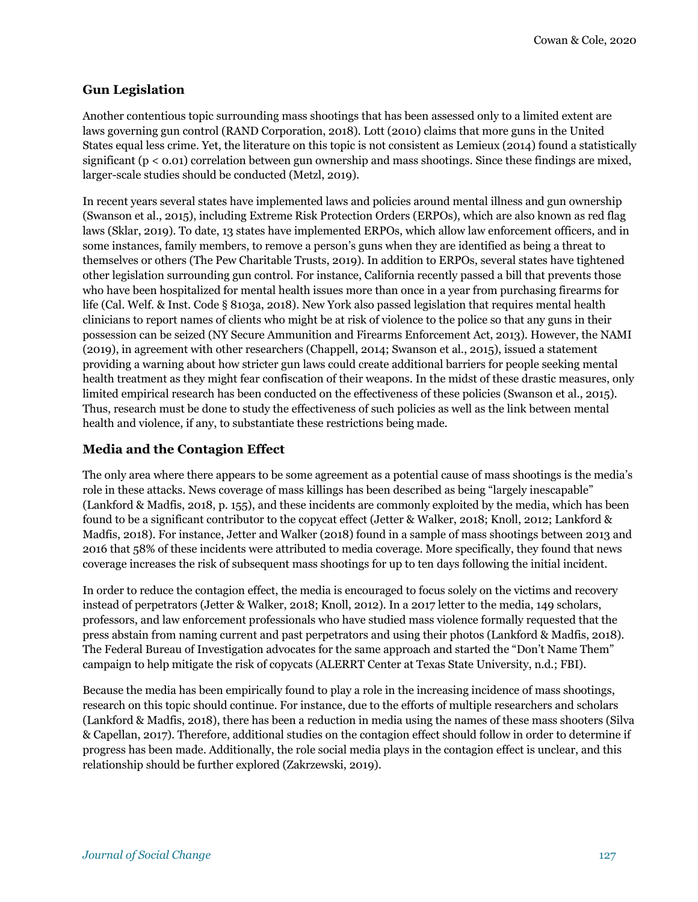#### **Gun Legislation**

Another contentious topic surrounding mass shootings that has been assessed only to a limited extent are laws governing gun control (RAND Corporation, 2018). Lott (2010) claims that more guns in the United States equal less crime. Yet, the literature on this topic is not consistent as Lemieux (2014) found a statistically significant (p < 0.01) correlation between gun ownership and mass shootings. Since these findings are mixed, larger-scale studies should be conducted (Metzl, 2019).

In recent years several states have implemented laws and policies around mental illness and gun ownership (Swanson et al., 2015), including Extreme Risk Protection Orders (ERPOs), which are also known as red flag laws (Sklar, 2019). To date, 13 states have implemented ERPOs, which allow law enforcement officers, and in some instances, family members, to remove a person's guns when they are identified as being a threat to themselves or others (The Pew Charitable Trusts, 2019). In addition to ERPOs, several states have tightened other legislation surrounding gun control. For instance, California recently passed a bill that prevents those who have been hospitalized for mental health issues more than once in a year from purchasing firearms for life (Cal. Welf. & Inst. Code § 8103a, 2018). New York also passed legislation that requires mental health clinicians to report names of clients who might be at risk of violence to the police so that any guns in their possession can be seized (NY Secure Ammunition and Firearms Enforcement Act, 2013). However, the NAMI (2019), in agreement with other researchers (Chappell, 2014; Swanson et al., 2015), issued a statement providing a warning about how stricter gun laws could create additional barriers for people seeking mental health treatment as they might fear confiscation of their weapons. In the midst of these drastic measures, only limited empirical research has been conducted on the effectiveness of these policies (Swanson et al., 2015). Thus, research must be done to study the effectiveness of such policies as well as the link between mental health and violence, if any, to substantiate these restrictions being made.

#### **Media and the Contagion Effect**

The only area where there appears to be some agreement as a potential cause of mass shootings is the media's role in these attacks. News coverage of mass killings has been described as being "largely inescapable" (Lankford & Madfis, 2018, p. 155), and these incidents are commonly exploited by the media, which has been found to be a significant contributor to the copycat effect (Jetter & Walker, 2018; Knoll, 2012; Lankford & Madfis, 2018). For instance, Jetter and Walker (2018) found in a sample of mass shootings between 2013 and 2016 that 58% of these incidents were attributed to media coverage. More specifically, they found that news coverage increases the risk of subsequent mass shootings for up to ten days following the initial incident.

In order to reduce the contagion effect, the media is encouraged to focus solely on the victims and recovery instead of perpetrators (Jetter & Walker, 2018; Knoll, 2012). In a 2017 letter to the media, 149 scholars, professors, and law enforcement professionals who have studied mass violence formally requested that the press abstain from naming current and past perpetrators and using their photos (Lankford & Madfis, 2018). The Federal Bureau of Investigation advocates for the same approach and started the "Don't Name Them" campaign to help mitigate the risk of copycats (ALERRT Center at Texas State University, n.d.; FBI).

Because the media has been empirically found to play a role in the increasing incidence of mass shootings, research on this topic should continue. For instance, due to the efforts of multiple researchers and scholars (Lankford & Madfis, 2018), there has been a reduction in media using the names of these mass shooters (Silva & Capellan, 2017). Therefore, additional studies on the contagion effect should follow in order to determine if progress has been made. Additionally, the role social media plays in the contagion effect is unclear, and this relationship should be further explored (Zakrzewski, 2019).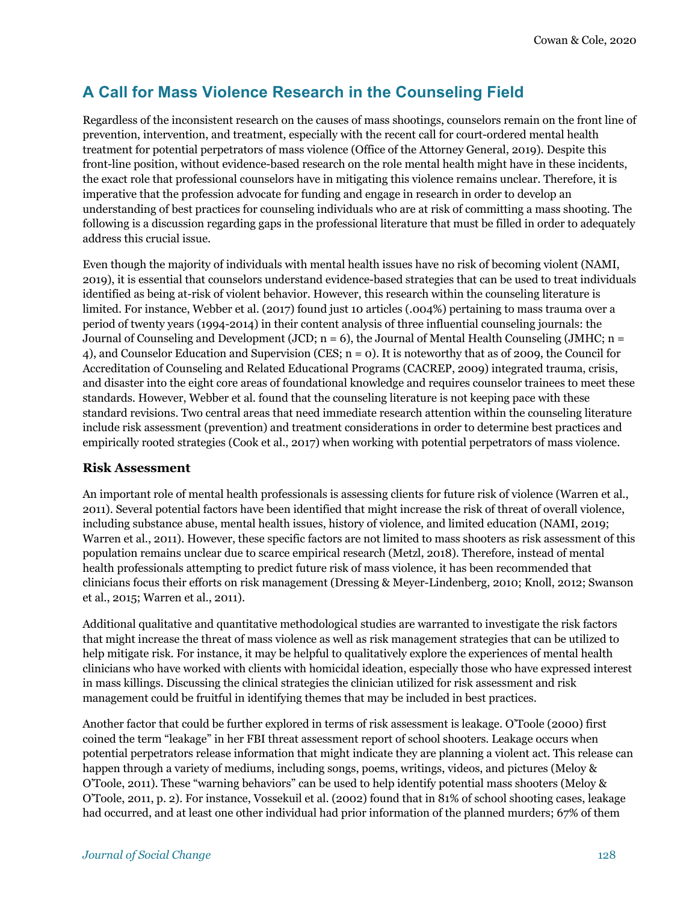## **A Call for Mass Violence Research in the Counseling Field**

Regardless of the inconsistent research on the causes of mass shootings, counselors remain on the front line of prevention, intervention, and treatment, especially with the recent call for court-ordered mental health treatment for potential perpetrators of mass violence (Office of the Attorney General, 2019). Despite this front-line position, without evidence-based research on the role mental health might have in these incidents, the exact role that professional counselors have in mitigating this violence remains unclear. Therefore, it is imperative that the profession advocate for funding and engage in research in order to develop an understanding of best practices for counseling individuals who are at risk of committing a mass shooting. The following is a discussion regarding gaps in the professional literature that must be filled in order to adequately address this crucial issue.

Even though the majority of individuals with mental health issues have no risk of becoming violent (NAMI, 2019), it is essential that counselors understand evidence-based strategies that can be used to treat individuals identified as being at-risk of violent behavior. However, this research within the counseling literature is limited. For instance, Webber et al. (2017) found just 10 articles (.004%) pertaining to mass trauma over a period of twenty years (1994-2014) in their content analysis of three influential counseling journals: the Journal of Counseling and Development (JCD;  $n = 6$ ), the Journal of Mental Health Counseling (JMHC;  $n =$ 4), and Counselor Education and Supervision (CES; n = 0). It is noteworthy that as of 2009, the Council for Accreditation of Counseling and Related Educational Programs (CACREP, 2009) integrated trauma, crisis, and disaster into the eight core areas of foundational knowledge and requires counselor trainees to meet these standards. However, Webber et al. found that the counseling literature is not keeping pace with these standard revisions. Two central areas that need immediate research attention within the counseling literature include risk assessment (prevention) and treatment considerations in order to determine best practices and empirically rooted strategies (Cook et al., 2017) when working with potential perpetrators of mass violence.

#### **Risk Assessment**

An important role of mental health professionals is assessing clients for future risk of violence (Warren et al., 2011). Several potential factors have been identified that might increase the risk of threat of overall violence, including substance abuse, mental health issues, history of violence, and limited education (NAMI, 2019; Warren et al., 2011). However, these specific factors are not limited to mass shooters as risk assessment of this population remains unclear due to scarce empirical research (Metzl, 2018). Therefore, instead of mental health professionals attempting to predict future risk of mass violence, it has been recommended that clinicians focus their efforts on risk management (Dressing & Meyer-Lindenberg, 2010; Knoll, 2012; Swanson et al., 2015; Warren et al., 2011).

Additional qualitative and quantitative methodological studies are warranted to investigate the risk factors that might increase the threat of mass violence as well as risk management strategies that can be utilized to help mitigate risk. For instance, it may be helpful to qualitatively explore the experiences of mental health clinicians who have worked with clients with homicidal ideation, especially those who have expressed interest in mass killings. Discussing the clinical strategies the clinician utilized for risk assessment and risk management could be fruitful in identifying themes that may be included in best practices.

Another factor that could be further explored in terms of risk assessment is leakage. O'Toole (2000) first coined the term "leakage" in her FBI threat assessment report of school shooters. Leakage occurs when potential perpetrators release information that might indicate they are planning a violent act. This release can happen through a variety of mediums, including songs, poems, writings, videos, and pictures (Meloy & O'Toole, 2011). These "warning behaviors" can be used to help identify potential mass shooters (Meloy & O'Toole, 2011, p. 2). For instance, Vossekuil et al. (2002) found that in 81% of school shooting cases, leakage had occurred, and at least one other individual had prior information of the planned murders; 67% of them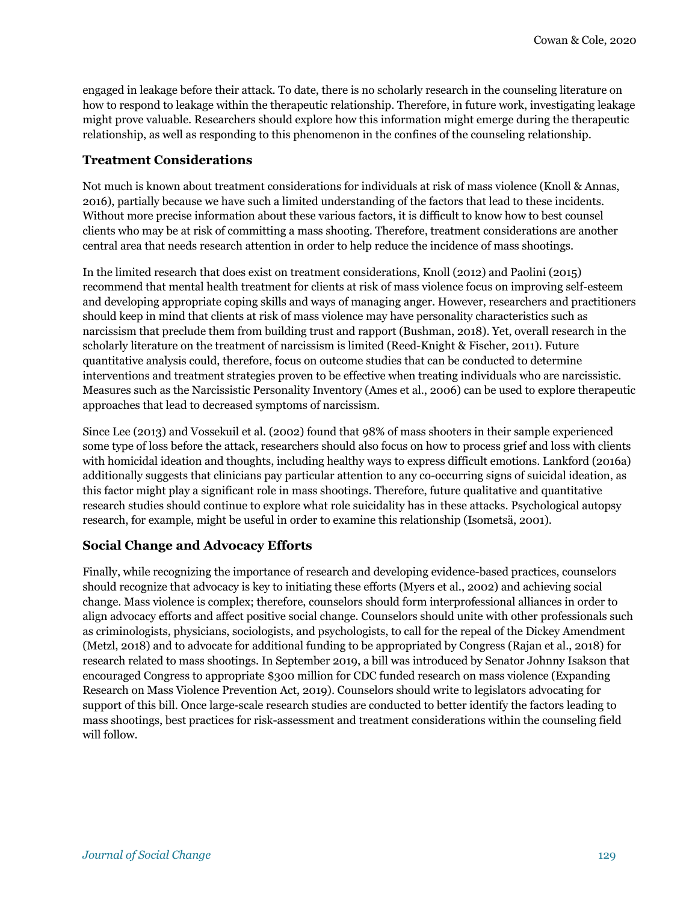engaged in leakage before their attack. To date, there is no scholarly research in the counseling literature on how to respond to leakage within the therapeutic relationship. Therefore, in future work, investigating leakage might prove valuable. Researchers should explore how this information might emerge during the therapeutic relationship, as well as responding to this phenomenon in the confines of the counseling relationship.

#### **Treatment Considerations**

Not much is known about treatment considerations for individuals at risk of mass violence (Knoll & Annas, 2016), partially because we have such a limited understanding of the factors that lead to these incidents. Without more precise information about these various factors, it is difficult to know how to best counsel clients who may be at risk of committing a mass shooting. Therefore, treatment considerations are another central area that needs research attention in order to help reduce the incidence of mass shootings.

In the limited research that does exist on treatment considerations, Knoll (2012) and Paolini (2015) recommend that mental health treatment for clients at risk of mass violence focus on improving self-esteem and developing appropriate coping skills and ways of managing anger. However, researchers and practitioners should keep in mind that clients at risk of mass violence may have personality characteristics such as narcissism that preclude them from building trust and rapport (Bushman, 2018). Yet, overall research in the scholarly literature on the treatment of narcissism is limited (Reed-Knight & Fischer, 2011). Future quantitative analysis could, therefore, focus on outcome studies that can be conducted to determine interventions and treatment strategies proven to be effective when treating individuals who are narcissistic. Measures such as the Narcissistic Personality Inventory (Ames et al., 2006) can be used to explore therapeutic approaches that lead to decreased symptoms of narcissism.

Since Lee (2013) and Vossekuil et al. (2002) found that 98% of mass shooters in their sample experienced some type of loss before the attack, researchers should also focus on how to process grief and loss with clients with homicidal ideation and thoughts, including healthy ways to express difficult emotions. Lankford (2016a) additionally suggests that clinicians pay particular attention to any co-occurring signs of suicidal ideation, as this factor might play a significant role in mass shootings. Therefore, future qualitative and quantitative research studies should continue to explore what role suicidality has in these attacks. Psychological autopsy research, for example, might be useful in order to examine this relationship (Isometsä, 2001).

#### **Social Change and Advocacy Efforts**

Finally, while recognizing the importance of research and developing evidence-based practices, counselors should recognize that advocacy is key to initiating these efforts (Myers et al., 2002) and achieving social change. Mass violence is complex; therefore, counselors should form interprofessional alliances in order to align advocacy efforts and affect positive social change. Counselors should unite with other professionals such as criminologists, physicians, sociologists, and psychologists, to call for the repeal of the Dickey Amendment (Metzl, 2018) and to advocate for additional funding to be appropriated by Congress (Rajan et al., 2018) for research related to mass shootings. In September 2019, a bill was introduced by Senator Johnny Isakson that encouraged Congress to appropriate \$300 million for CDC funded research on mass violence (Expanding Research on Mass Violence Prevention Act, 2019). Counselors should write to legislators advocating for support of this bill. Once large-scale research studies are conducted to better identify the factors leading to mass shootings, best practices for risk-assessment and treatment considerations within the counseling field will follow.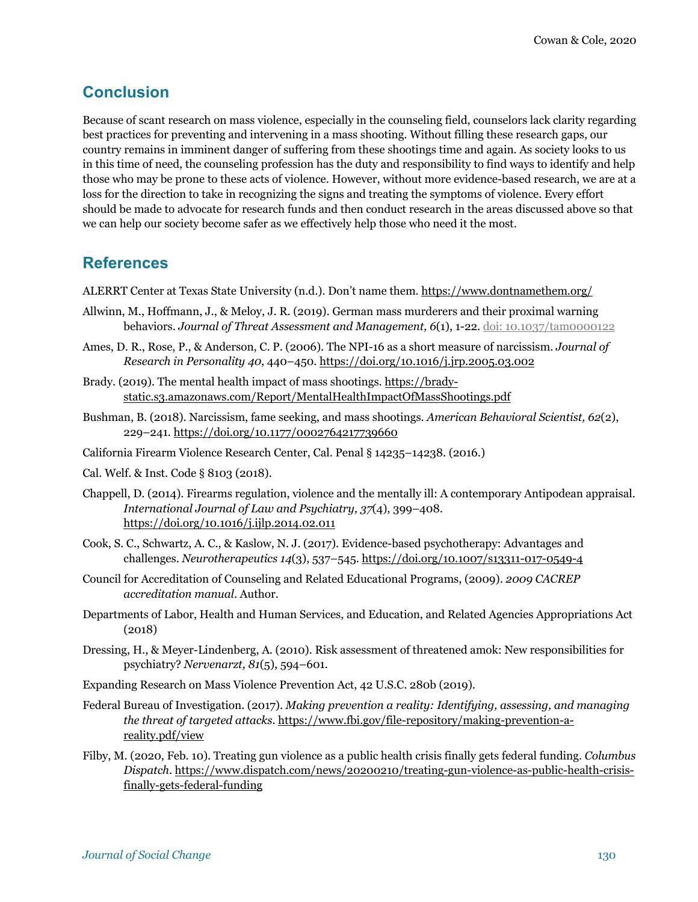## **Conclusion**

Because of scant research on mass violence, especially in the counseling field, counselors lack clarity regarding best practices for preventing and intervening in a mass shooting. Without filling these research gaps, our country remains in imminent danger of suffering from these shootings time and again. As society looks to us in this time of need, the counseling profession has the duty and responsibility to find ways to identify and help those who may be prone to these acts of violence. However, without more evidence-based research, we are at a loss for the direction to take in recognizing the signs and treating the symptoms of violence. Every effort should be made to advocate for research funds and then conduct research in the areas discussed above so that we can help our society become safer as we effectively help those who need it the most.

## **References**

ALERRT Center at Texas State University (n.d.). Don't name them. https://www.dontnamethem.org/

- Allwinn, M., Hoffmann, J., & Meloy, J. R. (2019). German mass murderers and their proximal warning behaviors. *Journal of Threat Assessment and Management, 6*(1), 1-22. doi: 10.1037/tam0000122
- Ames, D. R., Rose, P., & Anderson, C. P. (2006). The NPI-16 as a short measure of narcissism. *Journal of Research in Personality 40*, 440–450. https://doi.org/10.1016/j.jrp.2005.03.002
- Brady. (2019). The mental health impact of mass shootings. https://bradystatic.s3.amazonaws.com/Report/MentalHealthImpactOfMassShootings.pdf
- Bushman, B. (2018). Narcissism, fame seeking, and mass shootings. *American Behavioral Scientist, 62*(2), 229–241. https://doi.org/10.1177/0002764217739660
- California Firearm Violence Research Center, Cal. Penal § 14235–14238. (2016.)
- Cal. Welf. & Inst. Code § 8103 (2018).
- Chappell, D. (2014). Firearms regulation, violence and the mentally ill: A contemporary Antipodean appraisal. *International Journal of Law and Psychiatry, 37*(4), 399–408. https://doi.org/10.1016/j.ijlp.2014.02.011
- Cook, S. C., Schwartz, A. C., & Kaslow, N. J. (2017). Evidence-based psychotherapy: Advantages and challenges. *Neurotherapeutics 14*(3), 537–545. https://doi.org/10.1007/s13311-017-0549-4
- Council for Accreditation of Counseling and Related Educational Programs, (2009). *2009 CACREP accreditation manual*. Author.
- Departments of Labor, Health and Human Services, and Education, and Related Agencies Appropriations Act (2018)
- Dressing, H., & Meyer-Lindenberg, A. (2010). Risk assessment of threatened amok: New responsibilities for psychiatry? *Nervenarzt, 81*(5), 594–601.
- Expanding Research on Mass Violence Prevention Act, 42 U.S.C. 280b (2019).
- Federal Bureau of Investigation. (2017). *Making prevention a reality: Identifying, assessing, and managing the threat of targeted attacks*. https://www.fbi.gov/file-repository/making-prevention-areality.pdf/view
- Filby, M. (2020, Feb. 10). Treating gun violence as a public health crisis finally gets federal funding. *Columbus Dispatch*. https://www.dispatch.com/news/20200210/treating-gun-violence-as-public-health-crisisfinally-gets-federal-funding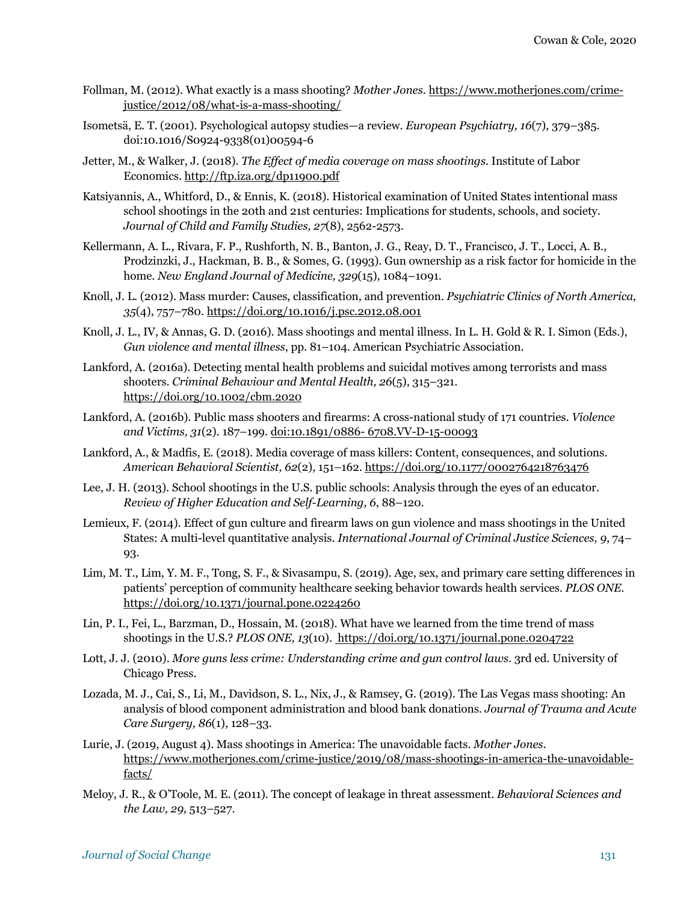- Follman, M. (2012). What exactly is a mass shooting? *Mother Jones*. https://www.motherjones.com/crimejustice/2012/08/what-is-a-mass-shooting/
- Isometsä, E. T. (2001). Psychological autopsy studies—a review. *European Psychiatry, 16*(7), 379–385. doi:10.1016/S0924-9338(01)00594-6
- Jetter, M., & Walker, J. (2018). *The Effect of media coverage on mass shootings*. Institute of Labor Economics. http://ftp.iza.org/dp11900.pdf
- Katsiyannis, A., Whitford, D., & Ennis, K. (2018). Historical examination of United States intentional mass school shootings in the 20th and 21st centuries: Implications for students, schools, and society. *Journal of Child and Family Studies, 27*(8), 2562-2573.
- Kellermann, A. L., Rivara, F. P., Rushforth, N. B., Banton, J. G., Reay, D. T., Francisco, J. T., Locci, A. B., Prodzinzki, J., Hackman, B. B., & Somes, G. (1993). Gun ownership as a risk factor for homicide in the home. *New England Journal of Medicine, 329*(15), 1084–1091.
- Knoll, J. L. (2012). Mass murder: Causes, classification, and prevention. *Psychiatric Clinics of North America, 35*(4), 757–780. https://doi.org/10.1016/j.psc.2012.08.001
- Knoll, J. L., IV, & Annas, G. D. (2016). Mass shootings and mental illness. In L. H. Gold & R. I. Simon (Eds.), *Gun violence and mental illness*, pp. 81–104. American Psychiatric Association.
- Lankford, A. (2016a). Detecting mental health problems and suicidal motives among terrorists and mass shooters. *Criminal Behaviour and Mental Health, 26*(5), 315–321. https://doi.org/10.1002/cbm.2020
- Lankford, A. (2016b). Public mass shooters and firearms: A cross-national study of 171 countries. *Violence and Victims, 31*(2). 187–199. doi:10.1891/0886- 6708.VV-D-15-00093
- Lankford, A., & Madfis, E. (2018). Media coverage of mass killers: Content, consequences, and solutions. *American Behavioral Scientist, 62*(2), 151–162. https://doi.org/10.1177/0002764218763476
- Lee, J. H. (2013). School shootings in the U.S. public schools: Analysis through the eyes of an educator. *Review of Higher Education and Self-Learning, 6*, 88–120.
- Lemieux, F. (2014). Effect of gun culture and firearm laws on gun violence and mass shootings in the United States: A multi-level quantitative analysis. *International Journal of Criminal Justice Sciences, 9*, 74– 93.
- Lim, M. T., Lim, Y. M. F., Tong, S. F., & Sivasampu, S. (2019). Age, sex, and primary care setting differences in patients' perception of community healthcare seeking behavior towards health services. *PLOS ONE*. https://doi.org/10.1371/journal.pone.0224260
- Lin, P. I., Fei, L., Barzman, D., Hossain, M. (2018). What have we learned from the time trend of mass shootings in the U.S.? *PLOS ONE, 13*(10). https://doi.org/10.1371/journal.pone.0204722
- Lott, J. J. (2010). *More guns less crime: Understanding crime and gun control laws*. 3rd ed. University of Chicago Press.
- Lozada, M. J., Cai, S., Li, M., Davidson, S. L., Nix, J., & Ramsey, G. (2019). The Las Vegas mass shooting: An analysis of blood component administration and blood bank donations. *Journal of Trauma and Acute Care Surgery, 86*(1), 128–33.
- Lurie, J. (2019, August 4). Mass shootings in America: The unavoidable facts. *Mother Jones*. https://www.motherjones.com/crime-justice/2019/08/mass-shootings-in-america-the-unavoidablefacts/
- Meloy, J. R., & O'Toole, M. E. (2011). The concept of leakage in threat assessment. *Behavioral Sciences and the Law, 29*, 513–527.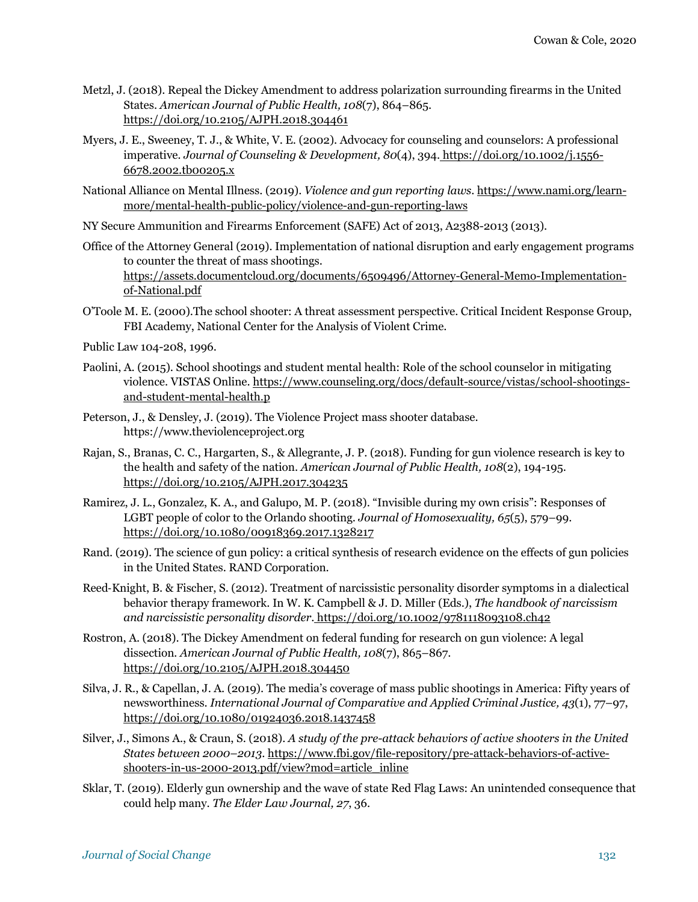- Metzl, J. (2018). Repeal the Dickey Amendment to address polarization surrounding firearms in the United States. *American Journal of Public Health, 108*(7), 864–865. https://doi.org/10.2105/AJPH.2018.304461
- Myers, J. E., Sweeney, T. J., & White, V. E. (2002). Advocacy for counseling and counselors: A professional imperative*. Journal of Counseling & Development, 80*(4), 394. https://doi.org/10.1002/j.1556- 6678.2002.tb00205.x
- National Alliance on Mental Illness. (2019). *Violence and gun reporting laws*. https://www.nami.org/learnmore/mental-health-public-policy/violence-and-gun-reporting-laws
- NY Secure Ammunition and Firearms Enforcement (SAFE) Act of 2013, A2388-2013 (2013).
- Office of the Attorney General (2019). Implementation of national disruption and early engagement programs to counter the threat of mass shootings. https://assets.documentcloud.org/documents/6509496/Attorney-General-Memo-Implementationof-National.pdf
- O'Toole M. E. (2000).The school shooter: A threat assessment perspective. Critical Incident Response Group, FBI Academy, National Center for the Analysis of Violent Crime.
- Public Law 104-208, 1996.
- Paolini, A. (2015). School shootings and student mental health: Role of the school counselor in mitigating violence. VISTAS Online. https://www.counseling.org/docs/default-source/vistas/school-shootingsand-student-mental-health.p
- Peterson, J., & Densley, J. (2019). The Violence Project mass shooter database. https://www.theviolenceproject.org
- Rajan, S., Branas, C. C., Hargarten, S., & Allegrante, J. P. (2018). Funding for gun violence research is key to the health and safety of the nation. *American Journal of Public Health, 108*(2), 194-195. https://doi.org/10.2105/AJPH.2017.304235
- Ramirez, J. L., Gonzalez, K. A., and Galupo, M. P. (2018). "Invisible during my own crisis": Responses of LGBT people of color to the Orlando shooting. *Journal of Homosexuality, 65*(5), 579–99. https://doi.org/10.1080/00918369.2017.1328217
- Rand. (2019). The science of gun policy: a critical synthesis of research evidence on the effects of gun policies in the United States. RAND Corporation.
- Reed-Knight, B. & Fischer, S. (2012). Treatment of narcissistic personality disorder symptoms in a dialectical behavior therapy framework. In W. K. Campbell & J. D. Miller (Eds.), *The handbook of narcissism and narcissistic personality disorder*. https://doi.org/10.1002/9781118093108.ch42
- Rostron, A. (2018). The Dickey Amendment on federal funding for research on gun violence: A legal dissection*. American Journal of Public Health, 108*(7), 865–867. https://doi.org/10.2105/AJPH.2018.304450
- Silva, J. R., & Capellan, J. A. (2019). The media's coverage of mass public shootings in America: Fifty years of newsworthiness. *International Journal of Comparative and Applied Criminal Justice, 43*(1), 77–97, https://doi.org/10.1080/01924036.2018.1437458
- Silver, J., Simons A., & Craun, S. (2018). *A study of the pre-attack behaviors of active shooters in the United States between 2000–2013*. https://www.fbi.gov/file-repository/pre-attack-behaviors-of-activeshooters-in-us-2000-2013.pdf/view?mod=article\_inline
- Sklar, T. (2019). Elderly gun ownership and the wave of state Red Flag Laws: An unintended consequence that could help many. *The Elder Law Journal, 27*, 36.